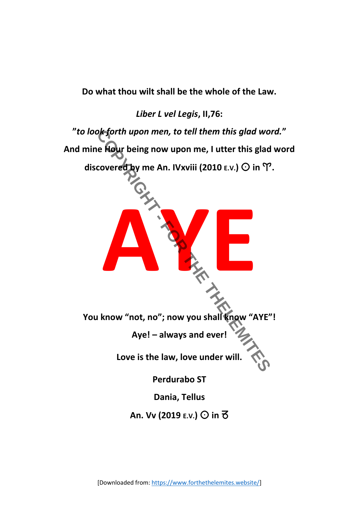**Do what thou wilt shall be the whole of the Law.**

*Liber L vel Legis***, II,76:**



[Downloaded from[: https://www.forthethelemites.website/\]](https://www.forthethelemites.website/)